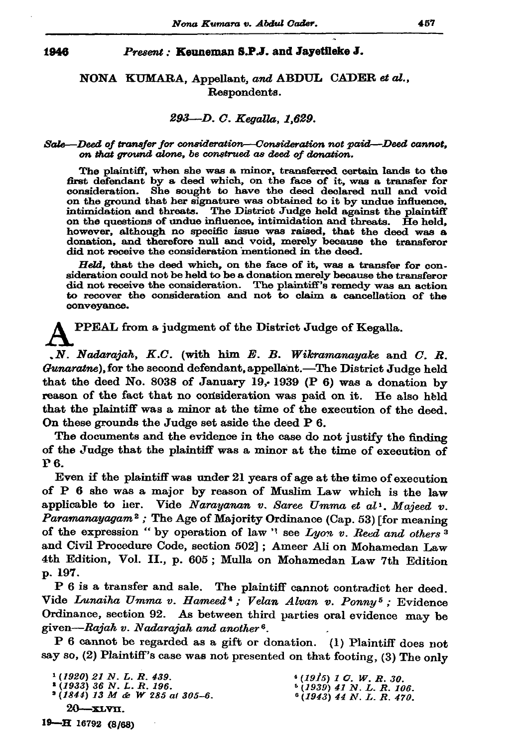#### 1946

### Present: Kenneman S.P.J. and Jayetileke J.

NONA KUMARA, Appellant, and ABDUL CADER et al., Respondents.

## 293-D. C. Kegalla, 1.629.

### Sale-Deed of transfer for consideration-Consideration not paid-Deed cannot, on that ground alone, be construed as deed of donation.

The plaintiff, when she was a minor, transferred certain lands to the first defendant by a deed which, on the face of it, was a transfer for consideration. She sought to have the deed declared null and void on the ground that her signature was obtained to it by undue influence. intimidation and threats. The District Judge held against the plaintiff on the questions of undue influence, intimidation and threats. He held. however, although no specific issue was raised, that the deed was a donation, and therefore null and void, merely because the transferor did not receive the consideration mentioned in the deed.

Held, that the deed which, on the face of it, was a transfer for consideration could not be held to be a donation merely because the transferor did not receive the consideration. The plaintiff's remedy was an action to recover the consideration and not to claim a cancellation of the conveyance.

PPEAL from a judgment of the District Judge of Kegalla.

.N. Nadarajah, K.C. (with him E. B. Wikramanayake and C. R. Gunaratne), for the second defendant, appellant. The District Judge held that the deed No. 8038 of January 19, 1939 (P 6) was a donation by reason of the fact that no consideration was paid on it. He also held that the plaintiff was a minor at the time of the execution of the deed. On these grounds the Judge set aside the deed P 6.

The documents and the evidence in the case do not justify the finding of the Judge that the plaintiff was a minor at the time of execution of **P6.** 

Even if the plaintiff was under 21 years of age at the time of execution of P 6 she was a major by reason of Muslim Law which is the law applicable to her. Vide Narayanan v. Saree Umma et al<sup>1</sup>, Majeed v. Paramanayagam<sup>2</sup>; The Age of Majority Ordinance (Cap. 53) [for meaning of the expression " by operation of law" see Lyon v. Reed and others<sup>3</sup> and Civil Procedure Code, section 502]; Ameer Ali on Mohamedan Law 4th Edition, Vol. II., p. 605; Mulla on Mohamedan Law 7th Edition p. 197.

P 6 is a transfer and sale. The plaintiff cannot contradict her deed. Vide Lunaiha Umma v. Hameed<sup>4</sup>; Velan Alvan v. Ponny<sup>5</sup>; Evidence Ordinance, section 92. As between third parties oral evidence may be given—Rajah v. Nadarajah and another<sup>6</sup>.

P 6 cannot be regarded as a gift or donation. (1) Plaintiff does not say so, (2) Plaintiff's case was not presented on that footing, (3) The only

 $*(1915)$  1 G. W. R. 30.<br> $*(1939)$  41 N. L. R. 106.<br> $*(1943)$  44 N. L. R. 470.  $1(1920)$  21 N. L. R. 439.  $*(1933)$  36 N.L.R. 196.  $3(1844)$  13 M & W 285 at 305-6.  $20 - xLVTL$ .

19-H 16792 (8/68)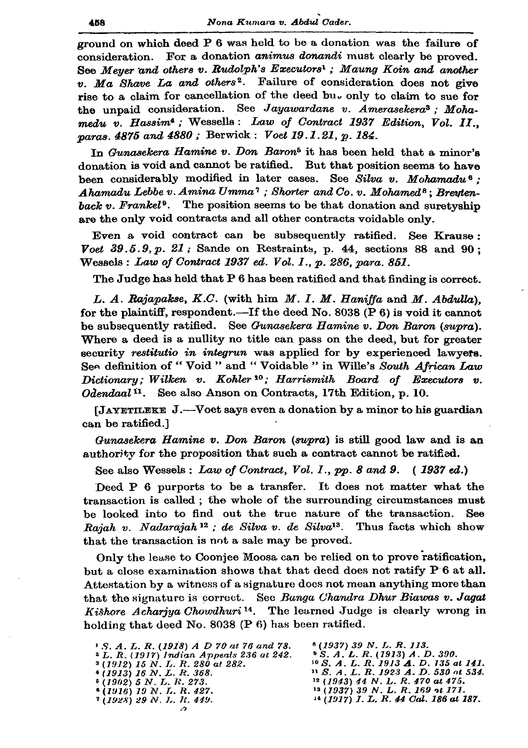ground on which deed P 6 was held to be a donation was the failure of consideration. For a donation animus donandi must clearly be proved. See Meyer and others v. Rudolph's Executors'; Maung Koin and another  $v.$  Ma Shave La and others<sup>2</sup>. Failure of consideration does not give rise to a claim for cancellation of the deed but only to claim to sue for the unpaid consideration. See Jayawardane v. Amerasekera<sup>3</sup> : Mohamedu v. Hassim<sup>4</sup>; Wessells: Law of Contract 1937 Edition. Vol. II.. paras. 4875 and 4880; Berwick: Voet 19.1.21. p. 184.

In Gunasekera Hamine v. Don Baron<sup>5</sup> it has been held that a minor's donation is void and cannot be ratified. But that position seems to have been considerably modified in later cases. See Silva v. Mohamadu<sup>6</sup>: Ahamadu Lebbe v. Amina Umma<sup>7</sup>; Shorter and Co. v. Mohamed<sup>8</sup>; Breutenback v. Frankel<sup>9</sup>. The position seems to be that donation and suretyship are the only void contracts and all other contracts voidable only.

Even a void contract can be subsequently ratified. See Krause: Voet  $39.5.9, p. 21$ ; Sande on Restraints, p. 44, sections 88 and 90; Wessels: Law of Contract 1937 ed. Vol. I., p. 286, para. 851.

The Judge has held that P 6 has been ratified and that finding is correct.

L. A. Rajapakse, K.C. (with him M. I. M. Haniffa and M. Abdulla). for the plaintiff, respondent.—If the deed No. 8038 (P 6) is void it cannot be subsequently ratified. See Gunasekera Hamine v. Don Baron (supra). Where a deed is a nullity no title can pass on the deed, but for greater security restitutio in integrun was applied for by experienced lawyers. See definition of "Void " and "Voidable " in Wille's South African Law Dictionary; Wilken v. Kohler<sup>10</sup>; Harrismith Board of Executors v. Odendaal<sup>11</sup>. See also Anson on Contracts, 17th Edition, p. 10.

 $\lambda$  (JAYETILEKE J.—Voet says even a donation by a minor to his guardian can be ratified.]

Gunasekera Hamine v. Don Baron (supra) is still good law and is an authority for the proposition that such a contract cannot be ratified.

See also Wessels: Law of Contract, Vol. I., pp. 8 and 9. (1937 ed.)

Deed P 6 purports to be a transfer. It does not matter what the transaction is called; the whole of the surrounding circumstances must be looked into to find out the true nature of the transaction. See Rajah v. Nadarajah<sup>12</sup>; de Silva v. de Silva<sup>13</sup>. Thus facts which show that the transaction is not a sale may be proved.

Only the lease to Cooniee Moosa can be relied on to prove ratification, but a close examination shows that that deed does not ratify P 6 at all. Attestation by a witness of a signature does not mean anything more than that the signature is correct. See Banga Chandra Dhur Biawas v. Jagat Kishore Acharjya Chowdhuri<sup>14</sup>. The learned Judge is clearly wrong in holding that deed No. 8038 (P 6) has been ratified.

| <sup>3</sup> S.A.L.R. (1918) A D 70 at 76 and 78. | $^{\circ}$ (1937)             |
|---------------------------------------------------|-------------------------------|
| $2 L. R. (1917)$ Indian Appeals 236 at 242.       | $^{\circ}S. A. I$             |
| $3(1912)$ 15 N, L, R, 280 at 282.                 | $^{10} S. A.$                 |
| $(1913)$ 16 N, L, R, 368.                         | $\mathbf{H} \mathbf{S}$ , A., |
| $5(1902)$ 5 N, L, R, 273.                         | 12(1943)                      |
| $(1916)$ 19 N. L. R. 427.                         | 13(1937)                      |
| $7(1928)$ 29 N.I.R. 449.                          | 14(1917)                      |
|                                                   |                               |

39 N.L.R.113.  $L. R. (1913) A. D. 390.$ L. R. 1913 **A**. D. 135 at 141.<br>L. R. 1923 A. D. 530 at 534. 44 N.L.R. 470 at 475. 39 N.L.R. 169 at 171. I. L. R. 44 Cal. 186 at 187.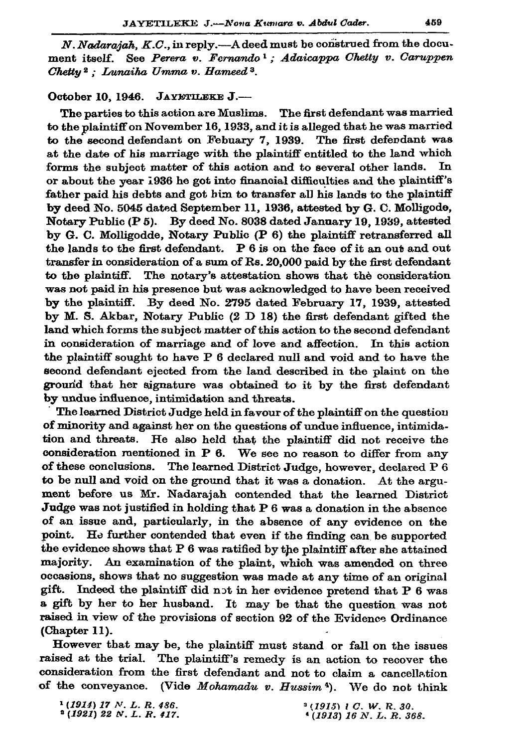N. Nadarajah, K.C., in reply.—A deed must be construed from the document itself. See Perera v. Fernando<sup>1</sup>: Adaicappa Chetty v. Caruppen Chetty<sup>2</sup>; Lunaiha Umma v. Hameed<sup>3</sup>.

# October 10, 1946. JAYETLEKE J.-

The parties to this action are Muslims. The first defendant was married to the plaintiff on November 16, 1933, and it is alleged that he was married to the second defendant on Febuary 7, 1939. The first defendant was at the date of his marriage with the plaintiff entitled to the land which forms the subject matter of this action and to several other lands. In or about the year 1936 he got into financial difficulties and the plaintiff's father paid his debts and got him to transfer all his lands to the plaintiff by deed No. 5045 dated September 11, 1936, attested by G. C. Molligode, Notary Public (P 5). By deed No. 8038 dated January 19, 1939, attested by G. C. Molligodde, Notary Public (P 6) the plaintiff retransferred all the lands to the first defendant. P 6 is on the face of it an out and out transfer in consideration of a sum of Rs. 20,000 paid by the first defendant to the plaintiff. The notary's attestation shows that the consideration was not paid in his presence but was acknowledged to have been received by the plaintiff. By deed No. 2795 dated February 17, 1939, attested by M. S. Akbar, Notary Public (2 D 18) the first defendant gifted the land which forms the subject matter of this action to the second defendant in consideration of marriage and of love and affection. In this action the plaintiff sought to have P 6 declared null and void and to have the second defendant ejected from the land described in the plaint on the ground that her signature was obtained to it by the first defendant by undue influence, intimidation and threats.

The learned District Judge held in favour of the plaintiff on the question of minority and against her on the questions of undue influence, intimidation and threats. He also held that the plaintiff did not receive the consideration mentioned in P 6. We see no reason to differ from any of these conclusions. The learned District Judge, however, declared P 6 to be null and void on the ground that it was a donation. At the argument before us Mr. Nadarajah contended that the learned District Judge was not justified in holding that P 6 was a donation in the absence of an issue and, particularly, in the absence of any evidence on the point. He further contended that even if the finding can be supported the evidence shows that P 6 was ratified by the plaintiff after she attained majority. An examination of the plaint, which was amended on three occasions, shows that no suggestion was made at any time of an original gift. Indeed the plaintiff did not in her evidence pretend that P 6 was a gift by her to her husband. It may be that the question was not raised in view of the provisions of section 92 of the Evidence Ordinance (Chapter 11).

However that may be, the plaintiff must stand or fall on the issues raised at the trial. The plaintiff's remedy is an action to recover the consideration from the first defendant and not to claim a cancellation of the conveyance. (Vide Mohamadu v. Hussim<sup>4</sup>). We do not think

 $1(1914)$  17 N.L.R. 486.  $(1921)$  22 N.L.R. 417.  $3(1915)$  1 C. W. R. 30.  $(1913)$  16 N. L. R. 368.